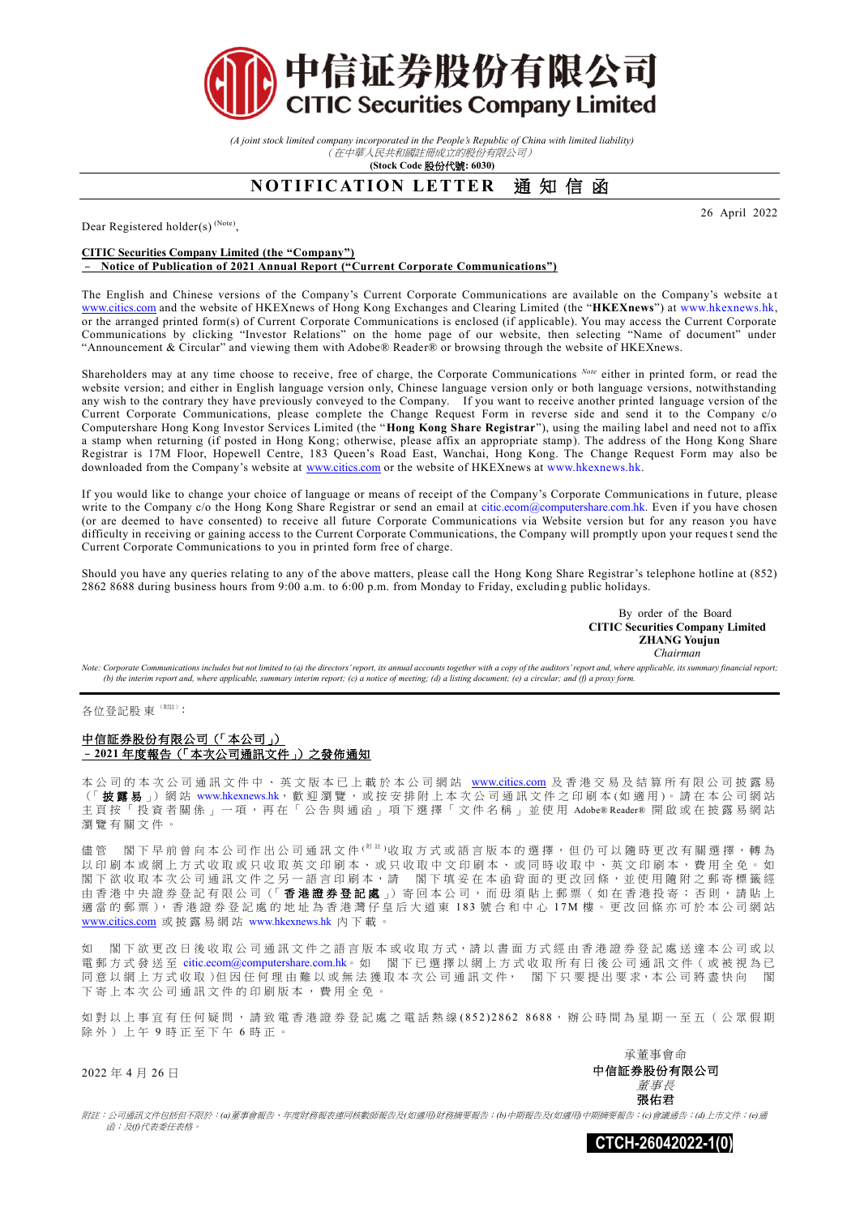

*(A joint stock limited company incorporated in the People's Republic of China with limited liability)* (在中華人民共和國註冊成立的股份有限公司)

**(Stock Code** 股份代號**: 6030)**

# **NOTIFICATION LETTER** 通知信函

Dear Registered holder(s)<sup>(Note)</sup>,

### **CITIC Securities Company Limited (the "Company")** – **Notice of Publication of 2021 Annual Report ("Current Corporate Communications")**

The English and Chinese versions of the Company's Current Corporate Communications are available on the Company's website a t [www.citics.com](http://www.citics.com/) and the website of HKEXnews of Hong Kong Exchanges and Clearing Limited (the "**HKEXnews**") at [www.hkexnews.hk,](http://www.hkexnews.hk/)  or the arranged printed form(s) of Current Corporate Communications is enclosed (if applicable). You may access the Current Corporate Communications by clicking "Investor Relations" on the home page of our website, then selecting "Name of document" under "Announcement & Circular" and viewing them with Adobe® Reader® or browsing through the website of HKEXnews.

Shareholders may at any time choose to receive, free of charge, the Corporate Communications <sup>Note</sup> either in printed form, or read the website version; and either in English language version only, Chinese language version only or both language versions, notwithstanding any wish to the contrary they have previously conveyed to the Company. If you want to receive another printed language version of the Current Corporate Communications, please complete the Change Request Form in reverse side and send it to the Company c/o Computershare Hong Kong Investor Services Limited (the "**Hong Kong Share Registrar**"), using the mailing label and need not to affix a stamp when returning (if posted in Hong Kong; otherwise, please affix an appropriate stamp). The address of the Hong Kong Share Registrar is 17M Floor, Hopewell Centre, 183 Queen's Road East, Wanchai, Hong Kong. The Change Request Form may also be downloaded from the Company's website at [www.citics.com](http://www.citics.com/) or the website of HKEXnews at [www.hkexnews.hk.](http://www.hkexnews.hk/)

If you would like to change your choice of language or means of receipt of the Company's Corporate Communications in f uture, please write to the Company c/o the Hong Kong Share Registrar or send an email at [citic.ecom@computershare.com.hk.](mailto:citic.ecom@computershare.com.hk) Even if you have chosen (or are deemed to have consented) to receive all future Corporate Communications via Website version but for any reason you have difficulty in receiving or gaining access to the Current Corporate Communications, the Company will promptly upon your request send the Current Corporate Communications to you in printed form free of charge.

Should you have any queries relating to any of the above matters, please call the Hong Kong Share Registrar's telephone hotline at (852) 2862 8688 during business hours from 9:00 a.m. to 6:00 p.m. from Monday to Friday, excludin g public holidays.

> By order of the Board **CITIC Securities Company Limited ZHANG Youjun**  *Chairman*

Note: Corporate Communications includes but not limited to (a) the directors' report, its annual accounts together with a copy of the auditors' report and, where applicable, its summary financial report; *(b) the interim report and, where applicable, summary interim report; (c) a notice of meeting; (d) a listing document; (e) a circular; and (f) a proxy form.*

各位登記股 東 (附註):

#### 中信証券股份有限公司(「本公司」) –**2021** 年度報告(「本次公司通訊文件」)之發佈通知

本公司的本次公司通訊文件中、英文版本已上載於本公司網站 [www.citics.com](http://www.citics.com/) 及香港交易及結算所有限公司披露易 (「披露易」)網站 [www.hkexnews.hk](http://www.hkexnews.hk/), 歡 迎 瀏 覽, 或 按 安 排 附 上 本 次 公 司 通 訊 文 件 之 印 刷 本 (如 適 用)。 請 在 本 公 司 網 站 主頁按「投資者關係」一項,再在「公告與通函」項下選擇「文件名稱」並使用 Adobe® Reader® 開啟或在披露易網站 瀏覽有關文件 。

閣下早前曾向本公司作出公司通訊文件( <sup>解注)</sup>收取方式或語言版本的選擇,但仍可以隨時更改有關選擇,轉為 以印刷本或網上方式收取或只收取英文印刷本、或只收取中文印刷本、或同時收取中、英文印刷本,費用全免。如 閣下欲收取本次公司通訊文件之另一語言印刷本,請 閣下填妥在本函背面的 更 改 回 條 , 並 使 用 隨 附 之 郵 寄 標 籤 經 由香港中央證券登記有限公司(「香港證券登記處」) 寄回本公司,而毋須貼上郵票(如在香港投寄;否則,請貼上 適當的郵票),香港證券登記處的地址為香港灣仔皇后大道東 183號合和中心 17M樓。更改回條亦可於本公司網站 [www.citics.com](http://www.citics.com/) 或 披 露 易 網 站 [www.hkexnews.hk](http://www.hkexnews.hk/) 內下載。

如 閣下 欲 更 改 日 後 收 取 公 司 通 訊 文 件 之 語 言 版 本 或 收 取 方 式, 請 以 書 面 方 式 經 由 香 港 證 券 登 記 處 送 達 本 公 司 或 以 電郵方式發送至 [citic.ecom@computershare.com.hk](mailto:citic.ecom@computershare.com.hk)。如 閣下已選擇以網上方式收取所有日後公司通訊文件(或被視為已 同 意 以 網 上 方 式 收 取 )但 因 任 何 理 由 難以或無法 獲 取 本 次 公 司 通 訊 文 件, 閣 下 只 要 提 出 要 求,本公司 將盡快向 閣 下寄上 本 次 公 司 通 訊 文 件 的 印 刷 版 本 , 費 用 全 免 。

如對以上事宜有任何疑問,請致電香港證券登記處之電話熱線(852)2862 8688,辦公時間為星期一至五(公眾假期 除外)上午9時正至下午6時正。

2022 年 4 月 26 日

承董事會命 中信証券股份有限公司 董事長 張佑君

附註:公司通訊文件包括但不限於:*(a)*董事會報告、年度財務報表連同核數師報告及*(*如適用*)*財務摘要報告;*(b)*中期報告及*(*如適用*)*中期摘要報告;*(c)*會議通告;*(d)*上市文件;*(e)*通 函;及*(f)*代表委任表格。



26 April 2022